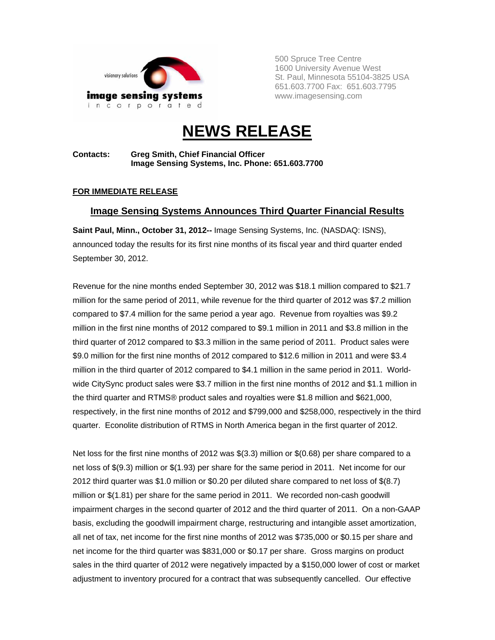

500 Spruce Tree Centre 1600 University Avenue West St. Paul, Minnesota 55104-3825 USA 651.603.7700 Fax: 651.603.7795 www.imagesensing.com

# **NEWS RELEASE**

**Contacts: Greg Smith, Chief Financial Officer Image Sensing Systems, Inc. Phone: 651.603.7700** 

## **FOR IMMEDIATE RELEASE**

## **Image Sensing Systems Announces Third Quarter Financial Results**

**Saint Paul, Minn., October 31, 2012--** Image Sensing Systems, Inc. (NASDAQ: ISNS), announced today the results for its first nine months of its fiscal year and third quarter ended September 30, 2012.

Revenue for the nine months ended September 30, 2012 was \$18.1 million compared to \$21.7 million for the same period of 2011, while revenue for the third quarter of 2012 was \$7.2 million compared to \$7.4 million for the same period a year ago. Revenue from royalties was \$9.2 million in the first nine months of 2012 compared to \$9.1 million in 2011 and \$3.8 million in the third quarter of 2012 compared to \$3.3 million in the same period of 2011. Product sales were \$9.0 million for the first nine months of 2012 compared to \$12.6 million in 2011 and were \$3.4 million in the third quarter of 2012 compared to \$4.1 million in the same period in 2011. Worldwide CitySync product sales were \$3.7 million in the first nine months of 2012 and \$1.1 million in the third quarter and RTMS® product sales and royalties were \$1.8 million and \$621,000, respectively, in the first nine months of 2012 and \$799,000 and \$258,000, respectively in the third quarter. Econolite distribution of RTMS in North America began in the first quarter of 2012.

Net loss for the first nine months of 2012 was \$(3.3) million or \$(0.68) per share compared to a net loss of \$(9.3) million or \$(1.93) per share for the same period in 2011. Net income for our 2012 third quarter was \$1.0 million or \$0.20 per diluted share compared to net loss of \$(8.7) million or \$(1.81) per share for the same period in 2011. We recorded non-cash goodwill impairment charges in the second quarter of 2012 and the third quarter of 2011. On a non-GAAP basis, excluding the goodwill impairment charge, restructuring and intangible asset amortization, all net of tax, net income for the first nine months of 2012 was \$735,000 or \$0.15 per share and net income for the third quarter was \$831,000 or \$0.17 per share. Gross margins on product sales in the third quarter of 2012 were negatively impacted by a \$150,000 lower of cost or market adjustment to inventory procured for a contract that was subsequently cancelled. Our effective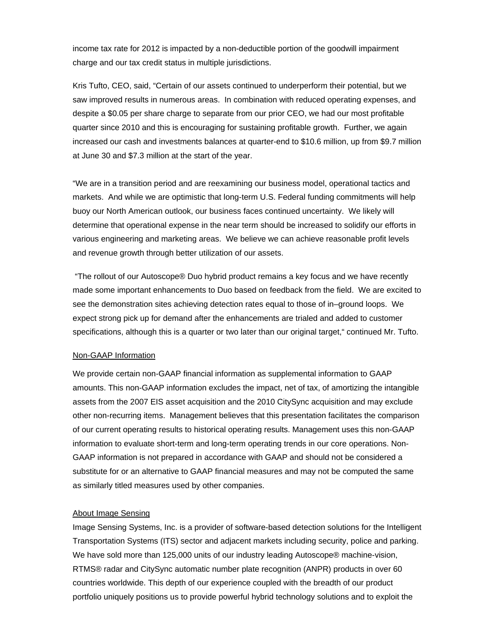income tax rate for 2012 is impacted by a non-deductible portion of the goodwill impairment charge and our tax credit status in multiple jurisdictions.

Kris Tufto, CEO, said, "Certain of our assets continued to underperform their potential, but we saw improved results in numerous areas. In combination with reduced operating expenses, and despite a \$0.05 per share charge to separate from our prior CEO, we had our most profitable quarter since 2010 and this is encouraging for sustaining profitable growth. Further, we again increased our cash and investments balances at quarter-end to \$10.6 million, up from \$9.7 million at June 30 and \$7.3 million at the start of the year.

"We are in a transition period and are reexamining our business model, operational tactics and markets. And while we are optimistic that long-term U.S. Federal funding commitments will help buoy our North American outlook, our business faces continued uncertainty. We likely will determine that operational expense in the near term should be increased to solidify our efforts in various engineering and marketing areas. We believe we can achieve reasonable profit levels and revenue growth through better utilization of our assets.

 "The rollout of our Autoscope® Duo hybrid product remains a key focus and we have recently made some important enhancements to Duo based on feedback from the field. We are excited to see the demonstration sites achieving detection rates equal to those of in–ground loops. We expect strong pick up for demand after the enhancements are trialed and added to customer specifications, although this is a quarter or two later than our original target," continued Mr. Tufto.

#### Non-GAAP Information

We provide certain non-GAAP financial information as supplemental information to GAAP amounts. This non-GAAP information excludes the impact, net of tax, of amortizing the intangible assets from the 2007 EIS asset acquisition and the 2010 CitySync acquisition and may exclude other non-recurring items. Management believes that this presentation facilitates the comparison of our current operating results to historical operating results. Management uses this non-GAAP information to evaluate short-term and long-term operating trends in our core operations. Non-GAAP information is not prepared in accordance with GAAP and should not be considered a substitute for or an alternative to GAAP financial measures and may not be computed the same as similarly titled measures used by other companies.

#### About Image Sensing

Image Sensing Systems, Inc. is a provider of software-based detection solutions for the Intelligent Transportation Systems (ITS) sector and adjacent markets including security, police and parking. We have sold more than 125,000 units of our industry leading Autoscope® machine-vision, RTMS® radar and CitySync automatic number plate recognition (ANPR) products in over 60 countries worldwide. This depth of our experience coupled with the breadth of our product portfolio uniquely positions us to provide powerful hybrid technology solutions and to exploit the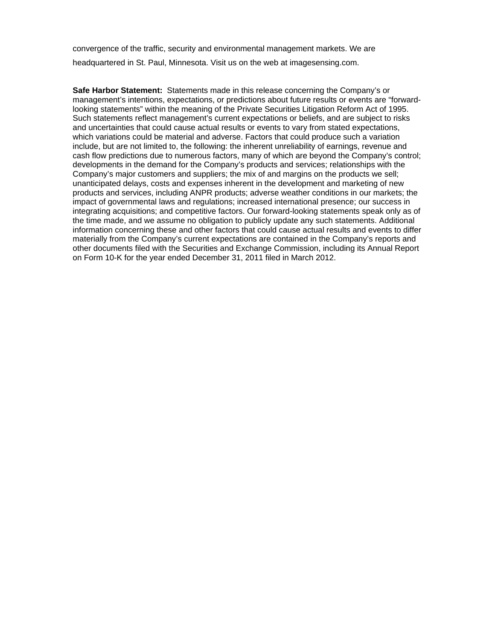convergence of the traffic, security and environmental management markets. We are headquartered in St. Paul, Minnesota. Visit us on the web at imagesensing.com.

**Safe Harbor Statement:** Statements made in this release concerning the Company's or management's intentions, expectations, or predictions about future results or events are "forwardlooking statements" within the meaning of the Private Securities Litigation Reform Act of 1995. Such statements reflect management's current expectations or beliefs, and are subject to risks and uncertainties that could cause actual results or events to vary from stated expectations, which variations could be material and adverse. Factors that could produce such a variation include, but are not limited to, the following: the inherent unreliability of earnings, revenue and cash flow predictions due to numerous factors, many of which are beyond the Company's control; developments in the demand for the Company's products and services; relationships with the Company's major customers and suppliers; the mix of and margins on the products we sell; unanticipated delays, costs and expenses inherent in the development and marketing of new products and services, including ANPR products; adverse weather conditions in our markets; the impact of governmental laws and regulations; increased international presence; our success in integrating acquisitions; and competitive factors. Our forward-looking statements speak only as of the time made, and we assume no obligation to publicly update any such statements. Additional information concerning these and other factors that could cause actual results and events to differ materially from the Company's current expectations are contained in the Company's reports and other documents filed with the Securities and Exchange Commission, including its Annual Report on Form 10-K for the year ended December 31, 2011 filed in March 2012.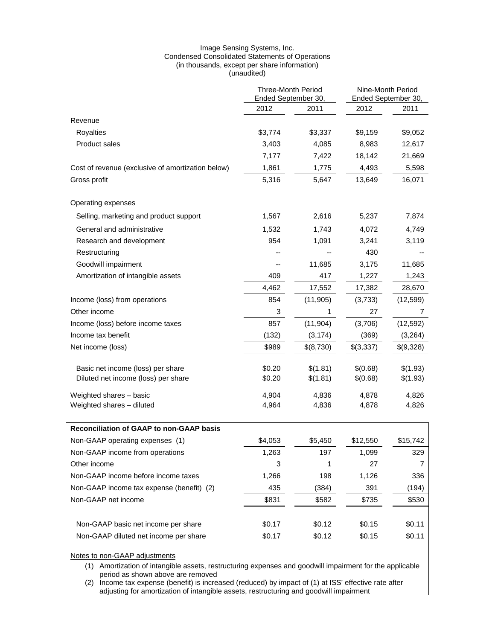#### Image Sensing Systems, Inc. Condensed Consolidated Statements of Operations (in thousands, except per share information) (unaudited)

|                                                   | <b>Three-Month Period</b><br>Ended September 30, |           | Nine-Month Period<br>Ended September 30, |           |
|---------------------------------------------------|--------------------------------------------------|-----------|------------------------------------------|-----------|
|                                                   | 2012                                             | 2011      | 2012                                     | 2011      |
| Revenue                                           |                                                  |           |                                          |           |
| Royalties                                         | \$3,774                                          | \$3,337   | \$9,159                                  | \$9,052   |
| Product sales                                     | 3,403                                            | 4,085     | 8,983                                    | 12,617    |
|                                                   | 7,177                                            | 7,422     | 18,142                                   | 21,669    |
| Cost of revenue (exclusive of amortization below) | 1,861                                            | 1,775     | 4,493                                    | 5,598     |
| Gross profit                                      | 5,316                                            | 5,647     | 13,649                                   | 16,071    |
| Operating expenses                                |                                                  |           |                                          |           |
| Selling, marketing and product support            | 1,567                                            | 2,616     | 5,237                                    | 7,874     |
| General and administrative                        | 1,532                                            | 1,743     | 4,072                                    | 4,749     |
| Research and development                          | 954                                              | 1,091     | 3,241                                    | 3,119     |
| Restructuring                                     |                                                  |           | 430                                      |           |
| Goodwill impairment                               |                                                  | 11,685    | 3,175                                    | 11,685    |
| Amortization of intangible assets                 | 409                                              | 417       | 1,227                                    | 1,243     |
|                                                   | 4,462                                            | 17,552    | 17,382                                   | 28,670    |
| Income (loss) from operations                     | 854                                              | (11, 905) | (3,733)                                  | (12, 599) |
| Other income                                      | 3                                                | 1         | 27                                       | 7         |
| Income (loss) before income taxes                 | 857                                              | (11, 904) | (3,706)                                  | (12, 592) |
| Income tax benefit                                | (132)                                            | (3, 174)  | (369)                                    | (3,264)   |
| Net income (loss)                                 | \$989                                            | \$(8,730) | \$(3,337)                                | \$(9,328) |
| Basic net income (loss) per share                 | \$0.20                                           | \$(1.81)  | \$(0.68)                                 | \$(1.93)  |
| Diluted net income (loss) per share               | \$0.20                                           | \$(1.81)  | \$(0.68)                                 | \$(1.93)  |
| Weighted shares - basic                           | 4,904                                            | 4,836     | 4,878                                    | 4,826     |
| Weighted shares - diluted                         | 4,964                                            | 4,836     | 4,878                                    | 4,826     |
| Reconciliation of GAAP to non-GAAP basis          |                                                  |           |                                          |           |
| Non-GAAP operating expenses (1)                   | \$4,053                                          | \$5,450   | \$12,550                                 | \$15,742  |
| Non-GAAP income from operations                   | 1,263                                            | 197       | 1,099                                    | 329       |
| Other income                                      | 3                                                | 1         | 27                                       | 7         |
| Non-GAAP income before income taxes               | 1,266                                            | 198       | 1,126                                    | 336       |
| Non-GAAP income tax expense (benefit) (2)         | 435                                              | (384)     | 391                                      | (194)     |
| Non-GAAP net income                               | \$831                                            | \$582     | \$735                                    | \$530     |
| Non-GAAP basic net income per share               | \$0.17                                           | \$0.12    | \$0.15                                   | \$0.11    |
| Non-GAAP diluted net income per share             | \$0.17                                           | \$0.12    | \$0.15                                   | \$0.11    |

Notes to non-GAAP adjustments

(1) Amortization of intangible assets, restructuring expenses and goodwill impairment for the applicable period as shown above are removed

(2) Income tax expense (benefit) is increased (reduced) by impact of (1) at ISS' effective rate after adjusting for amortization of intangible assets, restructuring and goodwill impairment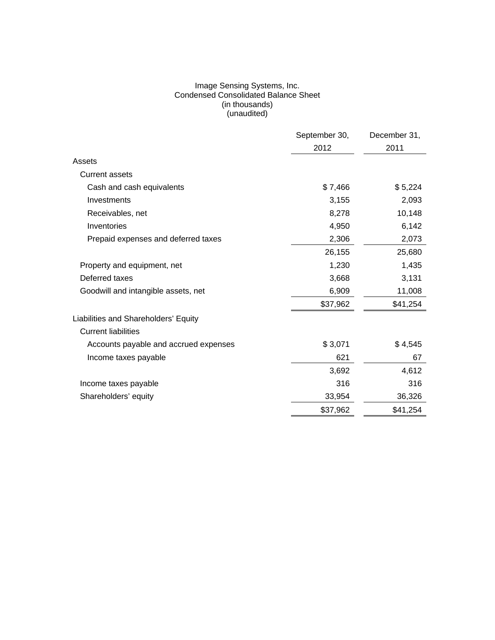#### Image Sensing Systems, Inc. Condensed Consolidated Balance Sheet (in thousands) (unaudited)

|                                       | September 30, | December 31, |
|---------------------------------------|---------------|--------------|
|                                       | 2012          | 2011         |
| Assets                                |               |              |
| <b>Current assets</b>                 |               |              |
| Cash and cash equivalents             | \$7,466       | \$5,224      |
| Investments                           | 3,155         | 2,093        |
| Receivables, net                      | 8,278         | 10,148       |
| Inventories                           | 4,950         | 6,142        |
| Prepaid expenses and deferred taxes   | 2,306         | 2,073        |
|                                       | 26,155        | 25,680       |
| Property and equipment, net           | 1,230         | 1,435        |
| Deferred taxes                        | 3,668         | 3,131        |
| Goodwill and intangible assets, net   | 6,909         | 11,008       |
|                                       | \$37,962      | \$41,254     |
| Liabilities and Shareholders' Equity  |               |              |
| <b>Current liabilities</b>            |               |              |
| Accounts payable and accrued expenses | \$3,071       | \$4,545      |
| Income taxes payable                  | 621           | 67           |
|                                       | 3,692         | 4,612        |
| Income taxes payable                  | 316           | 316          |
| Shareholders' equity                  | 33,954        | 36,326       |
|                                       | \$37,962      | \$41,254     |